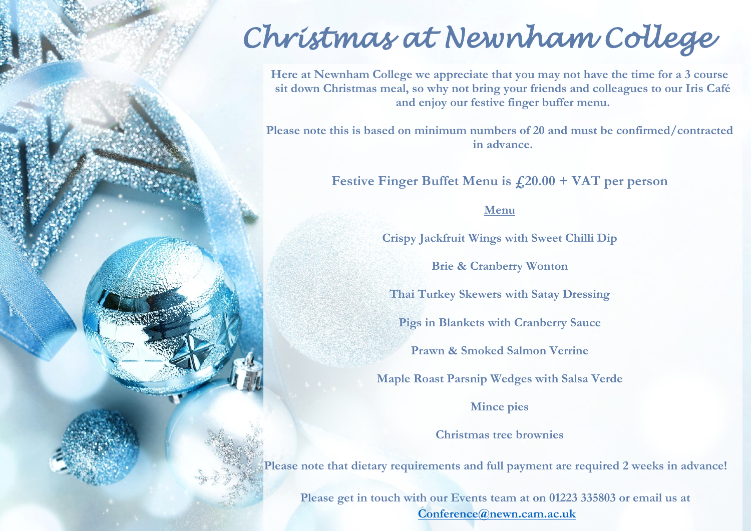## *Christmas at Newnham College*

**Here at Newnham College we appreciate that you may not have the time for a 3 course sit down Christmas meal, so why not bring your friends and colleagues to our Iris Café and enjoy our festive finger buffer menu.**

**Please note this is based on minimum numbers of 20 and must be confirmed/contracted in advance.**

**Festive Finger Buffet Menu is £20.00 + VAT per person**

## **Menu**

**Crispy Jackfruit Wings with Sweet Chilli Dip**

**Brie & Cranberry Wonton**

**Thai Turkey Skewers with Satay Dressing**

**Pigs in Blankets with Cranberry Sauce**

**Prawn & Smoked Salmon Verrine**

**Maple Roast Parsnip Wedges with Salsa Verde**

**Mince pies** 

**Christmas tree brownies**

**Please note that dietary requirements and full payment are required 2 weeks in advance!**

**Please get in touch with our Events team at on 01223 335803 or email us at [Conference@newn.cam.ac.uk](mailto:Conference@newn.cam.ac.uk)**